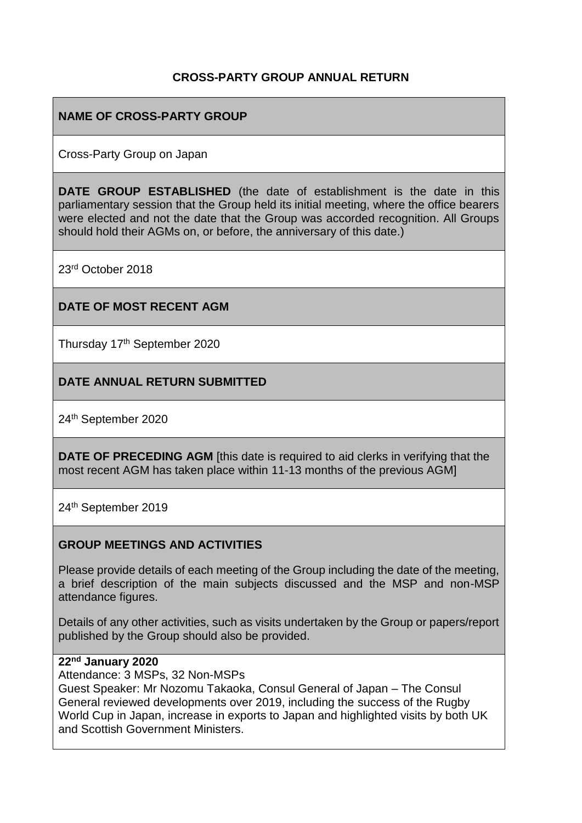## **CROSS-PARTY GROUP ANNUAL RETURN**

## **NAME OF CROSS-PARTY GROUP**

Cross-Party Group on Japan

**DATE GROUP ESTABLISHED** (the date of establishment is the date in this parliamentary session that the Group held its initial meeting, where the office bearers were elected and not the date that the Group was accorded recognition. All Groups should hold their AGMs on, or before, the anniversary of this date.)

23rd October 2018

### **DATE OF MOST RECENT AGM**

Thursday 17<sup>th</sup> September 2020

## **DATE ANNUAL RETURN SUBMITTED**

24th September 2020

**DATE OF PRECEDING AGM** [this date is required to aid clerks in verifying that the most recent AGM has taken place within 11-13 months of the previous AGM]

24th September 2019

#### **GROUP MEETINGS AND ACTIVITIES**

Please provide details of each meeting of the Group including the date of the meeting, a brief description of the main subjects discussed and the MSP and non-MSP attendance figures.

Details of any other activities, such as visits undertaken by the Group or papers/report published by the Group should also be provided.

#### **22nd January 2020**

Attendance: 3 MSPs, 32 Non-MSPs

Guest Speaker: Mr Nozomu Takaoka, Consul General of Japan – The Consul General reviewed developments over 2019, including the success of the Rugby World Cup in Japan, increase in exports to Japan and highlighted visits by both UK and Scottish Government Ministers.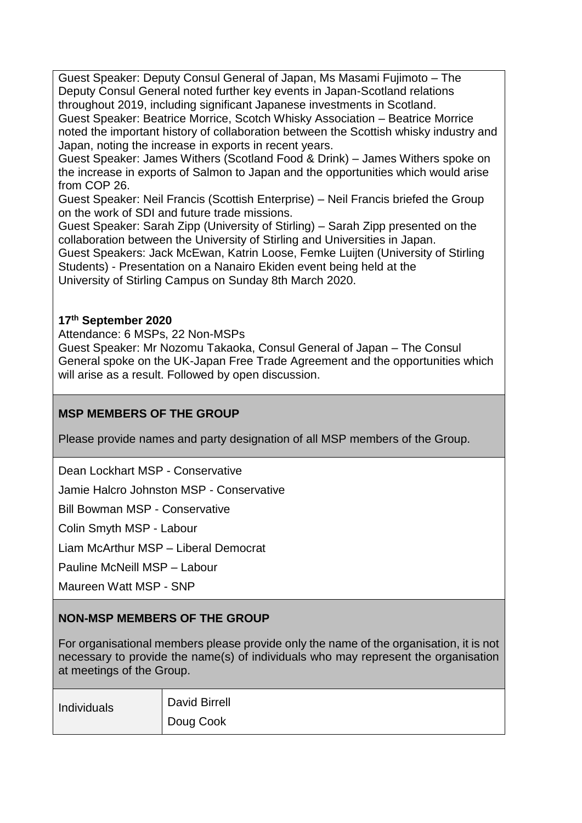Guest Speaker: Deputy Consul General of Japan, Ms Masami Fujimoto – The Deputy Consul General noted further key events in Japan-Scotland relations throughout 2019, including significant Japanese investments in Scotland. Guest Speaker: Beatrice Morrice, Scotch Whisky Association – Beatrice Morrice noted the important history of collaboration between the Scottish whisky industry and Japan, noting the increase in exports in recent years.

Guest Speaker: James Withers (Scotland Food & Drink) – James Withers spoke on the increase in exports of Salmon to Japan and the opportunities which would arise from COP 26.

Guest Speaker: Neil Francis (Scottish Enterprise) – Neil Francis briefed the Group on the work of SDI and future trade missions.

Guest Speaker: Sarah Zipp (University of Stirling) – Sarah Zipp presented on the collaboration between the University of Stirling and Universities in Japan.

Guest Speakers: Jack McEwan, Katrin Loose, Femke Luijten (University of Stirling Students) - Presentation on a Nanairo Ekiden event being held at the University of Stirling Campus on Sunday 8th March 2020.

## **17th September 2020**

Attendance: 6 MSPs, 22 Non-MSPs

Guest Speaker: Mr Nozomu Takaoka, Consul General of Japan – The Consul General spoke on the UK-Japan Free Trade Agreement and the opportunities which will arise as a result. Followed by open discussion.

# **MSP MEMBERS OF THE GROUP**

Please provide names and party designation of all MSP members of the Group.

Dean Lockhart MSP - Conservative

Jamie Halcro Johnston MSP - Conservative

Bill Bowman MSP - Conservative

Colin Smyth MSP - Labour

Liam McArthur MSP – Liberal Democrat

Pauline McNeill MSP – Labour

Maureen Watt MSP - SNP

# **NON-MSP MEMBERS OF THE GROUP**

For organisational members please provide only the name of the organisation, it is not necessary to provide the name(s) of individuals who may represent the organisation at meetings of the Group.

| Individuals | <b>David Birrell</b> |
|-------------|----------------------|
|             | Doug Cook            |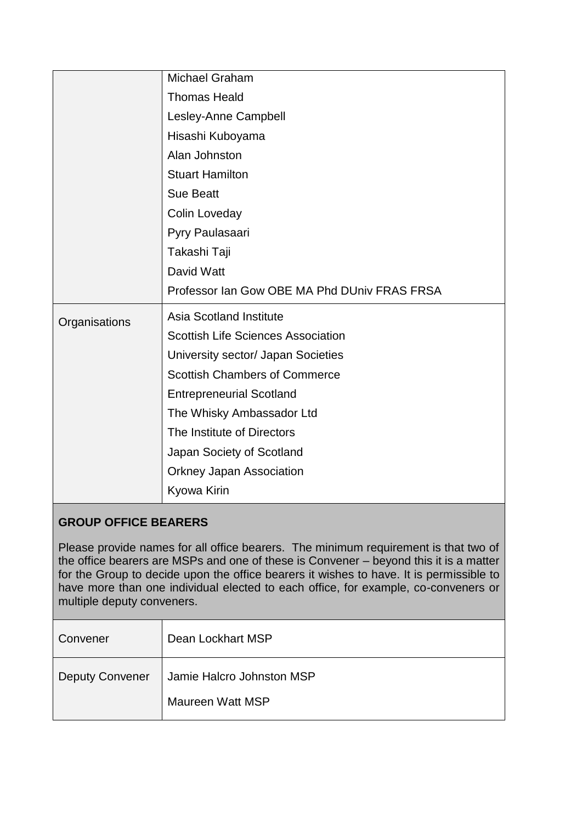|               | <b>Michael Graham</b>                        |
|---------------|----------------------------------------------|
|               | <b>Thomas Heald</b>                          |
|               | Lesley-Anne Campbell                         |
|               | Hisashi Kuboyama                             |
|               | Alan Johnston                                |
|               | <b>Stuart Hamilton</b>                       |
|               | <b>Sue Beatt</b>                             |
|               | Colin Loveday                                |
|               | Pyry Paulasaari                              |
|               | Takashi Taji                                 |
|               | David Watt                                   |
|               | Professor Ian Gow OBE MA Phd DUniv FRAS FRSA |
| Organisations | <b>Asia Scotland Institute</b>               |
|               | <b>Scottish Life Sciences Association</b>    |
|               | University sector/ Japan Societies           |
|               | <b>Scottish Chambers of Commerce</b>         |
|               | <b>Entrepreneurial Scotland</b>              |
|               | The Whisky Ambassador Ltd                    |
|               | The Institute of Directors                   |
|               | Japan Society of Scotland                    |
|               | <b>Orkney Japan Association</b>              |
|               | Kyowa Kirin                                  |

# **GROUP OFFICE BEARERS**

Please provide names for all office bearers. The minimum requirement is that two of the office bearers are MSPs and one of these is Convener – beyond this it is a matter for the Group to decide upon the office bearers it wishes to have. It is permissible to have more than one individual elected to each office, for example, co-conveners or multiple deputy conveners.

| Convener               | Dean Lockhart MSP                             |
|------------------------|-----------------------------------------------|
| <b>Deputy Convener</b> | Jamie Halcro Johnston MSP<br>Maureen Watt MSP |